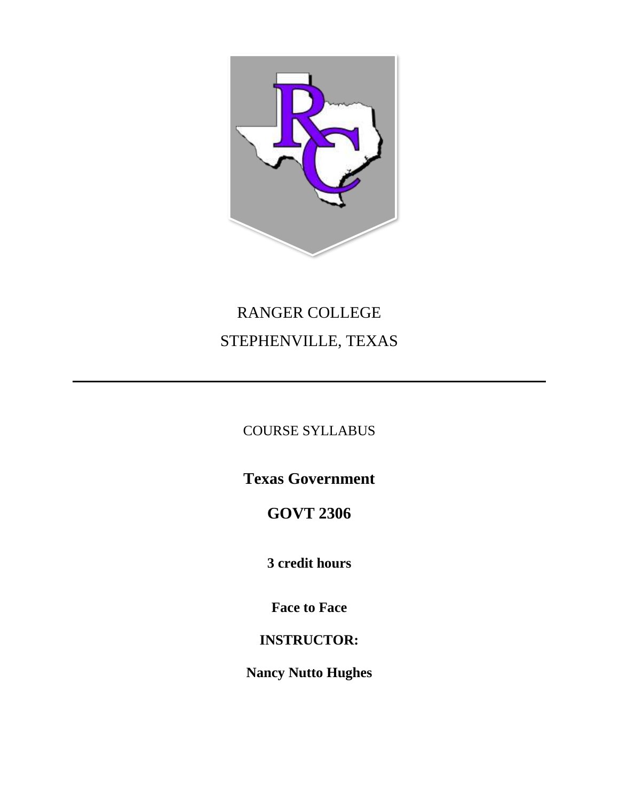

# RANGER COLLEGE STEPHENVILLE, TEXAS

# COURSE SYLLABUS

**Texas Government**

# **GOVT 2306**

**3 credit hours**

**Face to Face**

# **INSTRUCTOR:**

**Nancy Nutto Hughes**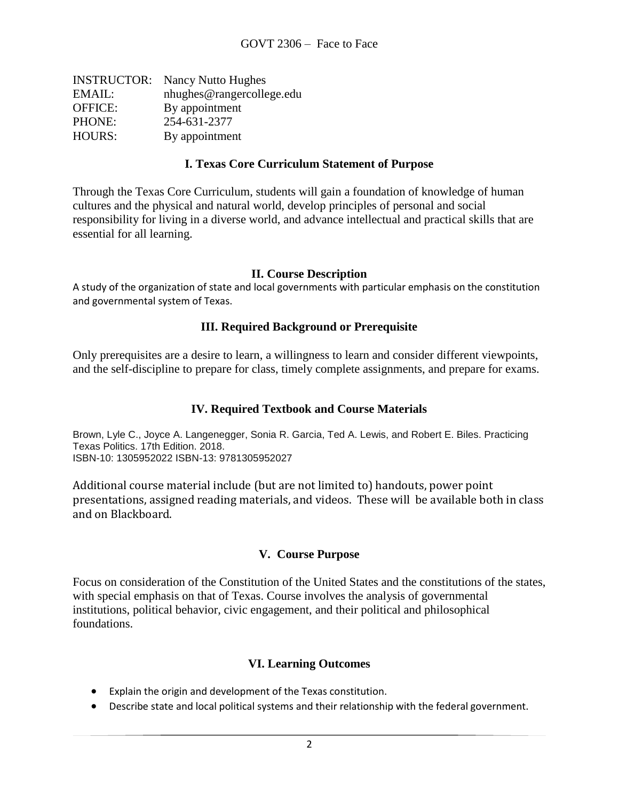| <b>INSTRUCTOR:</b> Nancy Nutto Hughes |
|---------------------------------------|
| nhughes@rangercollege.edu             |
| By appointment                        |
| 254-631-2377                          |
| By appointment                        |
|                                       |

#### **I. Texas Core Curriculum Statement of Purpose**

Through the Texas Core Curriculum, students will gain a foundation of knowledge of human cultures and the physical and natural world, develop principles of personal and social responsibility for living in a diverse world, and advance intellectual and practical skills that are essential for all learning.

#### **II. Course Description**

A study of the organization of state and local governments with particular emphasis on the constitution and governmental system of Texas.

#### **III. Required Background or Prerequisite**

Only prerequisites are a desire to learn, a willingness to learn and consider different viewpoints, and the self-discipline to prepare for class, timely complete assignments, and prepare for exams.

#### **IV. Required Textbook and Course Materials**

Brown, Lyle C., Joyce A. Langenegger, Sonia R. Garcia, Ted A. Lewis, and Robert E. Biles. Practicing Texas Politics. 17th Edition. 2018. ISBN-10: 1305952022 ISBN-13: 9781305952027

Additional course material include (but are not limited to) handouts, power point presentations, assigned reading materials, and videos. These will be available both in class and on Blackboard.

#### **V. Course Purpose**

Focus on consideration of the Constitution of the United States and the constitutions of the states, with special emphasis on that of Texas. Course involves the analysis of governmental institutions, political behavior, civic engagement, and their political and philosophical foundations.

#### **VI. Learning Outcomes**

- Explain the origin and development of the Texas constitution.
- Describe state and local political systems and their relationship with the federal government.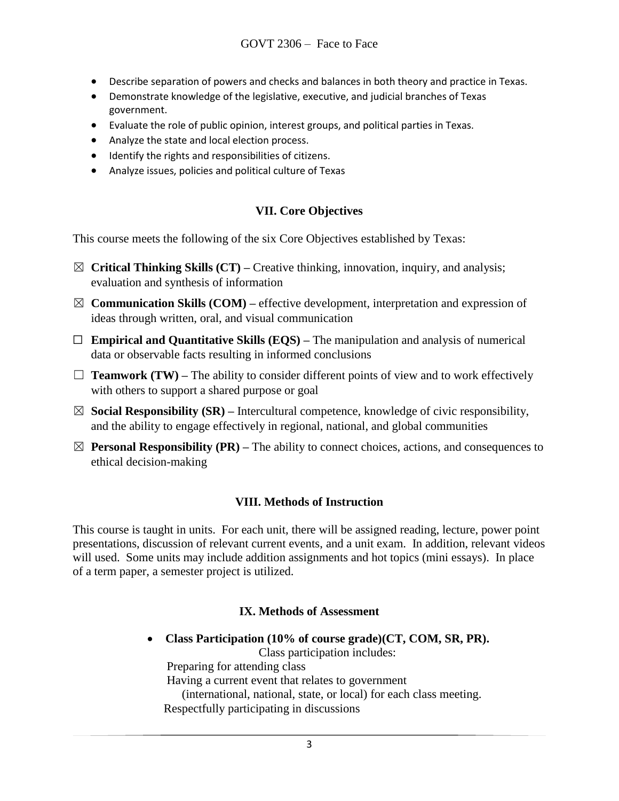- Describe separation of powers and checks and balances in both theory and practice in Texas.
- Demonstrate knowledge of the legislative, executive, and judicial branches of Texas government.
- Evaluate the role of public opinion, interest groups, and political parties in Texas.
- Analyze the state and local election process.
- Identify the rights and responsibilities of citizens.
- Analyze issues, policies and political culture of Texas

# **VII. Core Objectives**

This course meets the following of the six Core Objectives established by Texas:

- ☒ **Critical Thinking Skills (CT) –** Creative thinking, innovation, inquiry, and analysis; evaluation and synthesis of information
- $\boxtimes$  **Communication Skills (COM)** effective development, interpretation and expression of ideas through written, oral, and visual communication
- ☐ **Empirical and Quantitative Skills (EQS) –** The manipulation and analysis of numerical data or observable facts resulting in informed conclusions
- $\Box$  **Teamwork (TW)** The ability to consider different points of view and to work effectively with others to support a shared purpose or goal
- $\boxtimes$  **Social Responsibility (SR)** Intercultural competence, knowledge of civic responsibility, and the ability to engage effectively in regional, national, and global communities
- $\boxtimes$  **Personal Responsibility (PR)** The ability to connect choices, actions, and consequences to ethical decision-making

## **VIII. Methods of Instruction**

This course is taught in units. For each unit, there will be assigned reading, lecture, power point presentations, discussion of relevant current events, and a unit exam. In addition, relevant videos will used. Some units may include addition assignments and hot topics (mini essays). In place of a term paper, a semester project is utilized.

## **IX. Methods of Assessment**

• **Class Participation (10% of course grade)(CT, COM, SR, PR).** 

Class participation includes:

Preparing for attending class

Having a current event that relates to government

(international, national, state, or local) for each class meeting.

Respectfully participating in discussions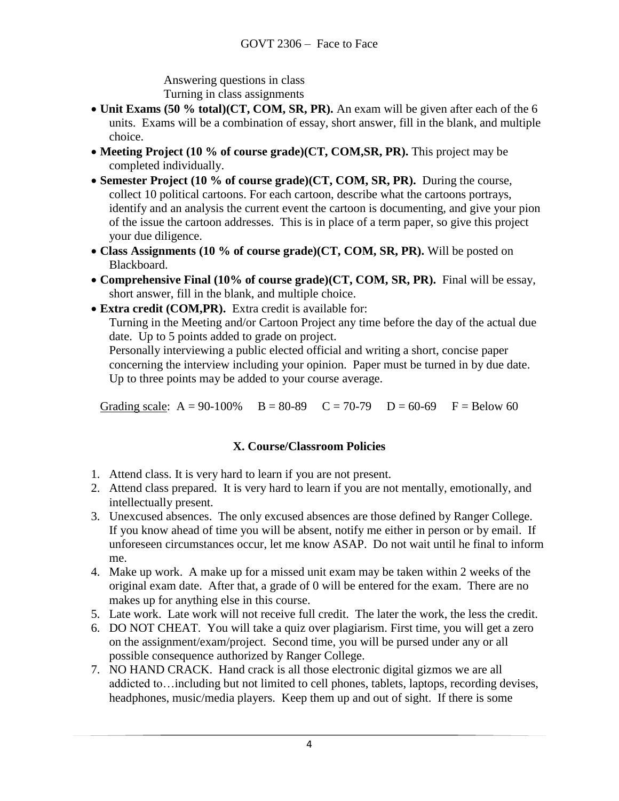Answering questions in class Turning in class assignments

- **Unit Exams (50 % total)(CT, COM, SR, PR).** An exam will be given after each of the 6 units. Exams will be a combination of essay, short answer, fill in the blank, and multiple choice.
- **Meeting Project (10 % of course grade)(CT, COM,SR, PR).** This project may be completed individually.
- **Semester Project (10 % of course grade)(CT, COM, SR, PR).** During the course, collect 10 political cartoons. For each cartoon, describe what the cartoons portrays, identify and an analysis the current event the cartoon is documenting, and give your pion of the issue the cartoon addresses. This is in place of a term paper, so give this project your due diligence.
- **Class Assignments (10 % of course grade)(CT, COM, SR, PR).** Will be posted on Blackboard.
- **Comprehensive Final (10% of course grade)(CT, COM, SR, PR).** Final will be essay, short answer, fill in the blank, and multiple choice.
- **Extra credit (COM,PR).** Extra credit is available for:

Turning in the Meeting and/or Cartoon Project any time before the day of the actual due date. Up to 5 points added to grade on project.

Personally interviewing a public elected official and writing a short, concise paper concerning the interview including your opinion. Paper must be turned in by due date. Up to three points may be added to your course average.

Grading scale:  $A = 90-100\%$   $B = 80-89$   $C = 70-79$   $D = 60-69$   $F = Below 60$ 

## **X. Course/Classroom Policies**

- 1. Attend class. It is very hard to learn if you are not present.
- 2. Attend class prepared. It is very hard to learn if you are not mentally, emotionally, and intellectually present.
- 3. Unexcused absences. The only excused absences are those defined by Ranger College. If you know ahead of time you will be absent, notify me either in person or by email. If unforeseen circumstances occur, let me know ASAP. Do not wait until he final to inform me.
- 4. Make up work. A make up for a missed unit exam may be taken within 2 weeks of the original exam date. After that, a grade of 0 will be entered for the exam. There are no makes up for anything else in this course.
- 5. Late work. Late work will not receive full credit. The later the work, the less the credit.
- 6. DO NOT CHEAT. You will take a quiz over plagiarism. First time, you will get a zero on the assignment/exam/project. Second time, you will be pursed under any or all possible consequence authorized by Ranger College.
- 7. NO HAND CRACK. Hand crack is all those electronic digital gizmos we are all addicted to…including but not limited to cell phones, tablets, laptops, recording devises, headphones, music/media players. Keep them up and out of sight. If there is some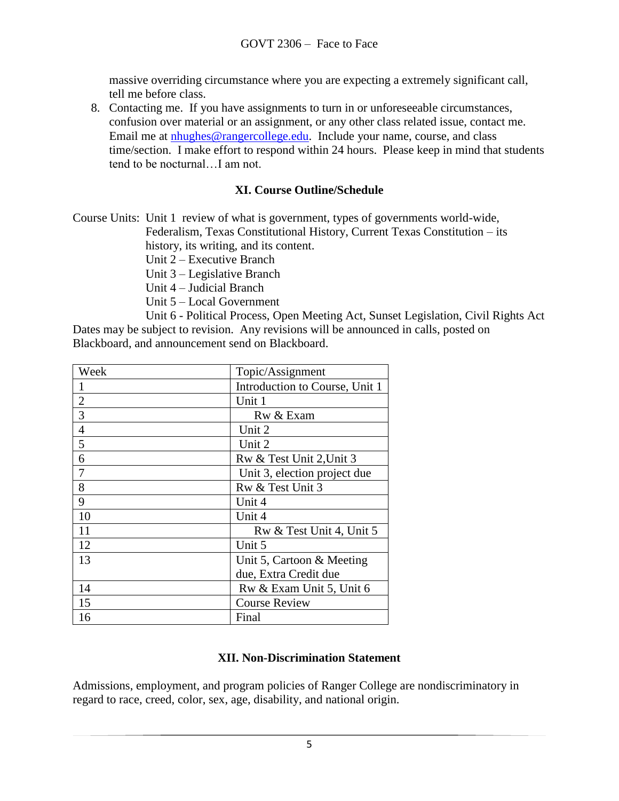massive overriding circumstance where you are expecting a extremely significant call, tell me before class.

8. Contacting me. If you have assignments to turn in or unforeseeable circumstances, confusion over material or an assignment, or any other class related issue, contact me. Email me at [nhughes@rangercollege.edu.](mailto:nhughes@rangercollege.edu) Include your name, course, and class time/section. I make effort to respond within 24 hours. Please keep in mind that students tend to be nocturnal…I am not.

#### **XI. Course Outline/Schedule**

Course Units: Unit 1 review of what is government, types of governments world-wide, Federalism, Texas Constitutional History, Current Texas Constitution – its

history, its writing, and its content.

Unit 2 – Executive Branch

Unit 3 – Legislative Branch

Unit 4 – Judicial Branch

Unit 5 – Local Government

Unit 6 - Political Process, Open Meeting Act, Sunset Legislation, Civil Rights Act Dates may be subject to revision. Any revisions will be announced in calls, posted on Blackboard, and announcement send on Blackboard.

| Week           | Topic/Assignment               |
|----------------|--------------------------------|
|                | Introduction to Course, Unit 1 |
| $\overline{2}$ | Unit 1                         |
| $\overline{3}$ | Rw & Exam                      |
| $\overline{4}$ | Unit 2                         |
| 5              | Unit 2                         |
| 6              | Rw & Test Unit 2, Unit 3       |
| 7              | Unit 3, election project due   |
| 8              | Rw & Test Unit 3               |
| 9              | Unit 4                         |
| 10             | Unit 4                         |
| 11             | Rw & Test Unit 4, Unit 5       |
| 12             | Unit 5                         |
| 13             | Unit 5, Cartoon & Meeting      |
|                | due, Extra Credit due          |
| 14             | Rw & Exam Unit 5, Unit 6       |
| 15             | <b>Course Review</b>           |
| 16             | Final                          |

#### **XII. Non-Discrimination Statement**

Admissions, employment, and program policies of Ranger College are nondiscriminatory in regard to race, creed, color, sex, age, disability, and national origin.